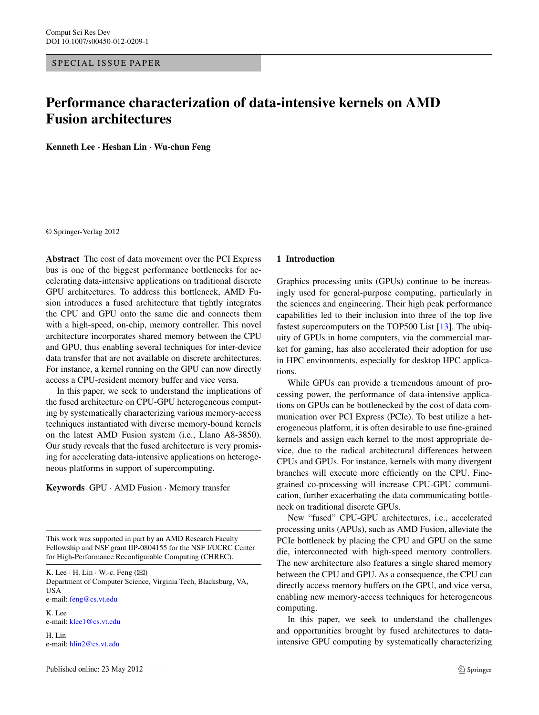# **Performance characterization of data-intensive kernels on AMD Fusion architectures**

**Kenneth Lee · Heshan Lin · Wu-chun Feng**

© Springer-Verlag 2012

**Abstract** The cost of data movement over the PCI Express bus is one of the biggest performance bottlenecks for accelerating data-intensive applications on traditional discrete GPU architectures. To address this bottleneck, AMD Fusion introduces a fused architecture that tightly integrates the CPU and GPU onto the same die and connects them with a high-speed, on-chip, memory controller. This novel architecture incorporates shared memory between the CPU and GPU, thus enabling several techniques for inter-device data transfer that are not available on discrete architectures. For instance, a kernel running on the GPU can now directly access a CPU-resident memory buffer and vice versa.

In this paper, we seek to understand the implications of the fused architecture on CPU-GPU heterogeneous computing by systematically characterizing various memory-access techniques instantiated with diverse memory-bound kernels on the latest AMD Fusion system (i.e., Llano A8-3850). Our study reveals that the fused architecture is very promising for accelerating data-intensive applications on heterogeneous platforms in support of supercomputing.

**Keywords** GPU · AMD Fusion · Memory transfer

This work was supported in part by an AMD Research Faculty Fellowship and NSF grant IIP-0804155 for the NSF I/UCRC Center for High-Performance Reconfigurable Computing (CHREC).

K. Lee  $\cdot$  H. Lin  $\cdot$  W.-c. Feng ( $\boxtimes$ ) Department of Computer Science, Virginia Tech, Blacksburg, VA, USA

e-mail: [feng@cs.vt.edu](mailto:feng@cs.vt.edu)

K. Lee e-mail: [klee1@cs.vt.edu](mailto:klee1@cs.vt.edu)

H. Lin e-mail: [hlin2@cs.vt.edu](mailto:hlin2@cs.vt.edu)

#### **1 Introduction**

Graphics processing units (GPUs) continue to be increasingly used for general-purpose computing, particularly in the sciences and engineering. Their high peak performance capabilities led to their inclusion into three of the top five fastest supercomputers on the TOP500 List [[13\]](#page-8-0). The ubiquity of GPUs in home computers, via the commercial market for gaming, has also accelerated their adoption for use in HPC environments, especially for desktop HPC applications.

While GPUs can provide a tremendous amount of processing power, the performance of data-intensive applications on GPUs can be bottlenecked by the cost of data communication over PCI Express (PCIe). To best utilize a heterogeneous platform, it is often desirable to use fine-grained kernels and assign each kernel to the most appropriate device, due to the radical architectural differences between CPUs and GPUs. For instance, kernels with many divergent branches will execute more efficiently on the CPU. Finegrained co-processing will increase CPU-GPU communication, further exacerbating the data communicating bottleneck on traditional discrete GPUs.

New "fused" CPU-GPU architectures, i.e., accelerated processing units (APUs), such as AMD Fusion, alleviate the PCIe bottleneck by placing the CPU and GPU on the same die, interconnected with high-speed memory controllers. The new architecture also features a single shared memory between the CPU and GPU. As a consequence, the CPU can directly access memory buffers on the GPU, and vice versa, enabling new memory-access techniques for heterogeneous computing.

In this paper, we seek to understand the challenges and opportunities brought by fused architectures to dataintensive GPU computing by systematically characterizing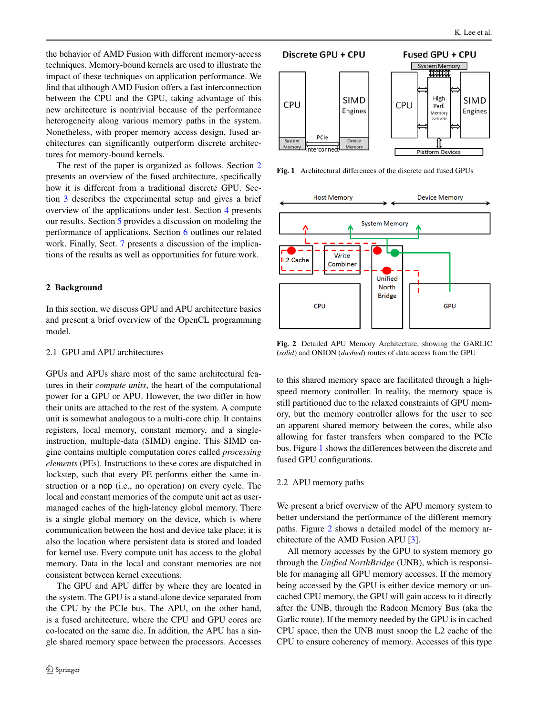the behavior of AMD Fusion with different memory-access techniques. Memory-bound kernels are used to illustrate the impact of these techniques on application performance. We find that although AMD Fusion offers a fast interconnection between the CPU and the GPU, taking advantage of this new architecture is nontrivial because of the performance heterogeneity along various memory paths in the system. Nonetheless, with proper memory access design, fused architectures can significantly outperform discrete architectures for memory-bound kernels.

<span id="page-1-0"></span>The rest of the paper is organized as follows. Section [2](#page-1-0) presents an overview of the fused architecture, specifically how it is different from a traditional discrete GPU. Section [3](#page-2-0) describes the experimental setup and gives a brief overview of the applications under test. Section [4](#page-4-0) presents our results. Section [5](#page-7-0) provides a discussion on modeling the performance of applications. Section [6](#page-7-1) outlines our related work. Finally, Sect. [7](#page-8-1) presents a discussion of the implications of the results as well as opportunities for future work.

# **2 Background**

In this section, we discuss GPU and APU architecture basics and present a brief overview of the OpenCL programming model.

## 2.1 GPU and APU architectures

GPUs and APUs share most of the same architectural features in their *compute units*, the heart of the computational power for a GPU or APU. However, the two differ in how their units are attached to the rest of the system. A compute unit is somewhat analogous to a multi-core chip. It contains registers, local memory, constant memory, and a singleinstruction, multiple-data (SIMD) engine. This SIMD engine contains multiple computation cores called *processing elements* (PEs). Instructions to these cores are dispatched in lockstep, such that every PE performs either the same instruction or a nop (i.e., no operation) on every cycle. The local and constant memories of the compute unit act as usermanaged caches of the high-latency global memory. There is a single global memory on the device, which is where communication between the host and device take place; it is also the location where persistent data is stored and loaded for kernel use. Every compute unit has access to the global memory. Data in the local and constant memories are not consistent between kernel executions.

The GPU and APU differ by where they are located in the system. The GPU is a stand-alone device separated from the CPU by the PCIe bus. The APU, on the other hand, is a fused architecture, where the CPU and GPU cores are co-located on the same die. In addition, the APU has a single shared memory space between the processors. Accesses

<span id="page-1-1"></span>

**Fig. 1** Architectural differences of the discrete and fused GPUs



<span id="page-1-2"></span>**Fig. 2** Detailed APU Memory Architecture, showing the GARLIC (*solid*) and ONION (*dashed*) routes of data access from the GPU

<span id="page-1-3"></span>to this shared memory space are facilitated through a highspeed memory controller. In reality, the memory space is still partitioned due to the relaxed constraints of GPU memory, but the memory controller allows for the user to see an apparent shared memory between the cores, while also allowing for faster transfers when compared to the PCIe bus. Figure [1](#page-1-1) shows the differences between the discrete and fused GPU configurations.

#### 2.2 APU memory paths

We present a brief overview of the APU memory system to better understand the performance of the different memory paths. Figure [2](#page-1-2) shows a detailed model of the memory architecture of the AMD Fusion APU [\[3](#page-8-2)].

All memory accesses by the GPU to system memory go through the *Unified NorthBridge* (UNB), which is responsible for managing all GPU memory accesses. If the memory being accessed by the GPU is either device memory or uncached CPU memory, the GPU will gain access to it directly after the UNB, through the Radeon Memory Bus (aka the Garlic route). If the memory needed by the GPU is in cached CPU space, then the UNB must snoop the L2 cache of the CPU to ensure coherency of memory. Accesses of this type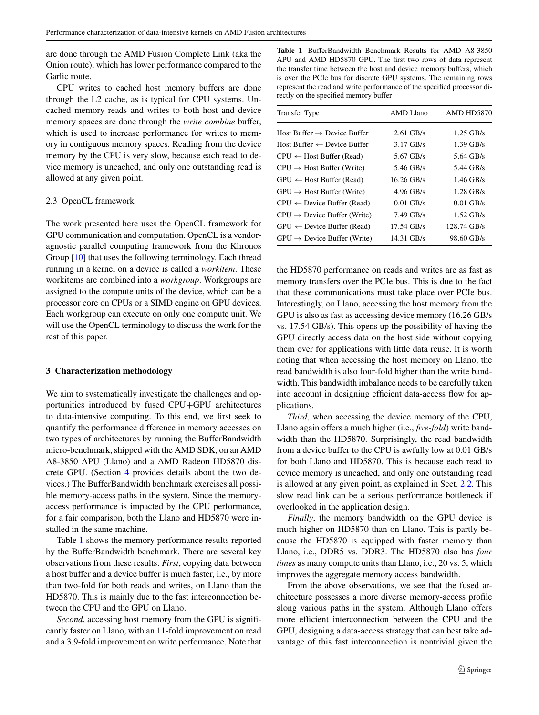are done through the AMD Fusion Complete Link (aka the Onion route), which has lower performance compared to the Garlic route.

CPU writes to cached host memory buffers are done through the L2 cache, as is typical for CPU systems. Uncached memory reads and writes to both host and device memory spaces are done through the *write combine* buffer, which is used to increase performance for writes to memory in contiguous memory spaces. Reading from the device memory by the CPU is very slow, because each read to device memory is uncached, and only one outstanding read is allowed at any given point.

## 2.3 OpenCL framework

The work presented here uses the OpenCL framework for GPU communication and computation. OpenCL is a vendoragnostic parallel computing framework from the Khronos Group [[10\]](#page-8-3) that uses the following terminology. Each thread running in a kernel on a device is called a *workitem*. These workitems are combined into a *workgroup*. Workgroups are assigned to the compute units of the device, which can be a processor core on CPUs or a SIMD engine on GPU devices. Each workgroup can execute on only one compute unit. We will use the OpenCL terminology to discuss the work for the rest of this paper.

#### <span id="page-2-0"></span>**3 Characterization methodology**

We aim to systematically investigate the challenges and opportunities introduced by fused CPU+GPU architectures to data-intensive computing. To this end, we first seek to quantify the performance difference in memory accesses on two types of architectures by running the BufferBandwidth micro-benchmark, shipped with the AMD SDK, on an AMD A8-3850 APU (Llano) and a AMD Radeon HD5870 discrete GPU. (Section [4](#page-4-0) provides details about the two devices.) The BufferBandwidth benchmark exercises all possible memory-access paths in the system. Since the memoryaccess performance is impacted by the CPU performance, for a fair comparison, both the Llano and HD5870 were installed in the same machine.

Table [1](#page-2-1) shows the memory performance results reported by the BufferBandwidth benchmark. There are several key observations from these results. *First*, copying data between a host buffer and a device buffer is much faster, i.e., by more than two-fold for both reads and writes, on Llano than the HD5870. This is mainly due to the fast interconnection between the CPU and the GPU on Llano.

*Second*, accessing host memory from the GPU is significantly faster on Llano, with an 11-fold improvement on read and a 3.9-fold improvement on write performance. Note that

<span id="page-2-1"></span>**Table 1** BufferBandwidth Benchmark Results for AMD A8-3850 APU and AMD HD5870 GPU. The first two rows of data represent the transfer time between the host and device memory buffers, which is over the PCIe bus for discrete GPU systems. The remaining rows represent the read and write performance of the specified processor directly on the specified memory buffer

| <b>Transfer Type</b>                    | AMD Llano   | <b>AMD HD5870</b> |
|-----------------------------------------|-------------|-------------------|
| Host Buffer $\rightarrow$ Device Buffer | $2.61$ GB/s | $1.25$ GB/s       |
| Host Buffer $\leftarrow$ Device Buffer  | $3.17$ GB/s | $1.39$ GB/s       |
| $CPU \leftarrow Host Buffer (Read)$     | 5.67 GB/s   | 5.64 GB/s         |
| $CPU \rightarrow Host Buffer (Write)$   | 5.46 GB/s   | 5.44 GB/s         |
| $GPU \leftarrow Host Buffer (Read)$     | 16.26 GB/s  | $1.46$ GB/s       |
| $GPU \rightarrow Host Buffer (Write)$   | $4.96$ GB/s | $1.28$ GB/s       |
| $CPU \leftarrow Device Buffer (Read)$   | $0.01$ GB/s | $0.01$ GB/s       |
| $CPU \rightarrow Device Buffer (Write)$ | $7.49$ GB/s | $1.52$ GB/s       |
| $GPU \leftarrow$ Device Buffer (Read)   | 17.54 GB/s  | 128.74 GB/s       |
| $GPU \rightarrow Device Buffer (Write)$ | 14.31 GB/s  | 98.60 GB/s        |

the HD5870 performance on reads and writes are as fast as memory transfers over the PCIe bus. This is due to the fact that these communications must take place over PCIe bus. Interestingly, on Llano, accessing the host memory from the GPU is also as fast as accessing device memory (16.26 GB/s vs. 17.54 GB/s). This opens up the possibility of having the GPU directly access data on the host side without copying them over for applications with little data reuse. It is worth noting that when accessing the host memory on Llano, the read bandwidth is also four-fold higher than the write bandwidth. This bandwidth imbalance needs to be carefully taken into account in designing efficient data-access flow for applications.

*Third*, when accessing the device memory of the CPU, Llano again offers a much higher (i.e., *five-fold*) write bandwidth than the HD5870. Surprisingly, the read bandwidth from a device buffer to the CPU is awfully low at 0.01 GB/s for both Llano and HD5870. This is because each read to device memory is uncached, and only one outstanding read is allowed at any given point, as explained in Sect. [2.2](#page-1-3). This slow read link can be a serious performance bottleneck if overlooked in the application design.

*Finally*, the memory bandwidth on the GPU device is much higher on HD5870 than on Llano. This is partly because the HD5870 is equipped with faster memory than Llano, i.e., DDR5 vs. DDR3. The HD5870 also has *four times* as many compute units than Llano, i.e., 20 vs. 5, which improves the aggregate memory access bandwidth.

From the above observations, we see that the fused architecture possesses a more diverse memory-access profile along various paths in the system. Although Llano offers more efficient interconnection between the CPU and the GPU, designing a data-access strategy that can best take advantage of this fast interconnection is nontrivial given the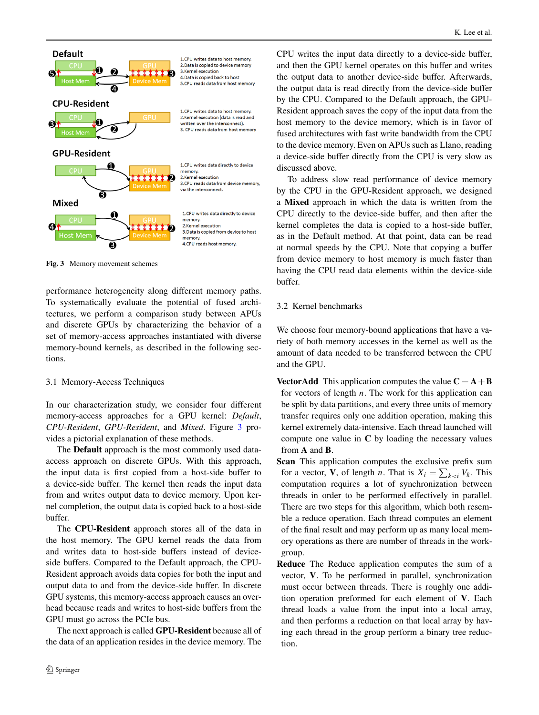

<span id="page-3-0"></span>**Fig. 3** Memory movement schemes

performance heterogeneity along different memory paths. To systematically evaluate the potential of fused architectures, we perform a comparison study between APUs and discrete GPUs by characterizing the behavior of a set of memory-access approaches instantiated with diverse memory-bound kernels, as described in the following sections.

# 3.1 Memory-Access Techniques

In our characterization study, we consider four different memory-access approaches for a GPU kernel: *Default*, *CPU-Resident*, *GPU-Resident*, and *Mixed*. Figure [3](#page-3-0) provides a pictorial explanation of these methods.

The **Default** approach is the most commonly used dataaccess approach on discrete GPUs. With this approach, the input data is first copied from a host-side buffer to a device-side buffer. The kernel then reads the input data from and writes output data to device memory. Upon kernel completion, the output data is copied back to a host-side buffer.

The **CPU-Resident** approach stores all of the data in the host memory. The GPU kernel reads the data from and writes data to host-side buffers instead of deviceside buffers. Compared to the Default approach, the CPU-Resident approach avoids data copies for both the input and output data to and from the device-side buffer. In discrete GPU systems, this memory-access approach causes an overhead because reads and writes to host-side buffers from the GPU must go across the PCIe bus.

The next approach is called **GPU-Resident** because all of the data of an application resides in the device memory. The CPU writes the input data directly to a device-side buffer, and then the GPU kernel operates on this buffer and writes the output data to another device-side buffer. Afterwards, the output data is read directly from the device-side buffer by the CPU. Compared to the Default approach, the GPU-Resident approach saves the copy of the input data from the host memory to the device memory, which is in favor of fused architectures with fast write bandwidth from the CPU to the device memory. Even on APUs such as Llano, reading a device-side buffer directly from the CPU is very slow as discussed above.

To address slow read performance of device memory by the CPU in the GPU-Resident approach, we designed a **Mixed** approach in which the data is written from the CPU directly to the device-side buffer, and then after the kernel completes the data is copied to a host-side buffer, as in the Default method. At that point, data can be read at normal speeds by the CPU. Note that copying a buffer from device memory to host memory is much faster than having the CPU read data elements within the device-side buffer.

# 3.2 Kernel benchmarks

We choose four memory-bound applications that have a variety of both memory accesses in the kernel as well as the amount of data needed to be transferred between the CPU and the GPU.

- **VectorAdd** This application computes the value  $C = A + B$ for vectors of length *n*. The work for this application can be split by data partitions, and every three units of memory transfer requires only one addition operation, making this kernel extremely data-intensive. Each thread launched will compute one value in **C** by loading the necessary values from **A** and **B**.
- **Scan** This application computes the exclusive prefix sum for a vector, **V**, of length *n*. That is  $X_i = \sum_{k \leq i} V_k$ . This computation requires a lot of synchronization between threads in order to be performed effectively in parallel. There are two steps for this algorithm, which both resemble a reduce operation. Each thread computes an element of the final result and may perform up as many local memory operations as there are number of threads in the workgroup.
- **Reduce** The Reduce application computes the sum of a vector, **V**. To be performed in parallel, synchronization must occur between threads. There is roughly one addition operation preformed for each element of **V**. Each thread loads a value from the input into a local array, and then performs a reduction on that local array by having each thread in the group perform a binary tree reduction.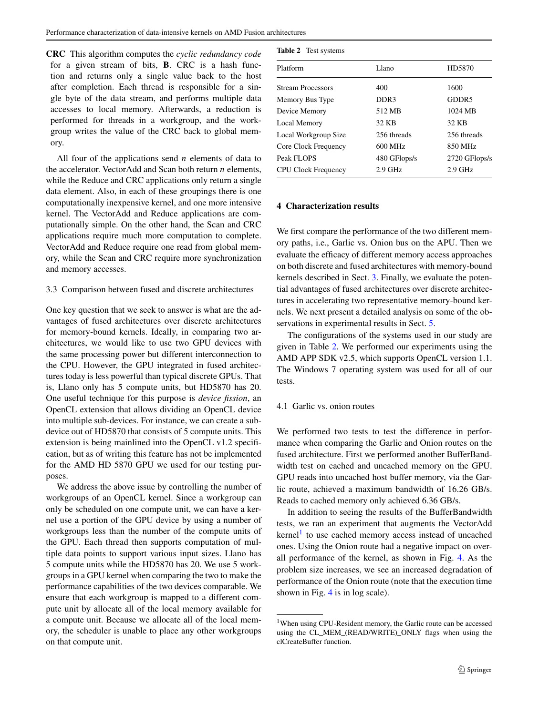**CRC** This algorithm computes the *cyclic redundancy code* for a given stream of bits, **B**. CRC is a hash function and returns only a single value back to the host after completion. Each thread is responsible for a single byte of the data stream, and performs multiple data accesses to local memory. Afterwards, a reduction is performed for threads in a workgroup, and the workgroup writes the value of the CRC back to global memory.

All four of the applications send *n* elements of data to the accelerator. VectorAdd and Scan both return *n* elements, while the Reduce and CRC applications only return a single data element. Also, in each of these groupings there is one computationally inexpensive kernel, and one more intensive kernel. The VectorAdd and Reduce applications are computationally simple. On the other hand, the Scan and CRC applications require much more computation to complete. VectorAdd and Reduce require one read from global memory, while the Scan and CRC require more synchronization and memory accesses.

#### 3.3 Comparison between fused and discrete architectures

One key question that we seek to answer is what are the advantages of fused architectures over discrete architectures for memory-bound kernels. Ideally, in comparing two architectures, we would like to use two GPU devices with the same processing power but different interconnection to the CPU. However, the GPU integrated in fused architectures today is less powerful than typical discrete GPUs. That is, Llano only has 5 compute units, but HD5870 has 20. One useful technique for this purpose is *device fission*, an OpenCL extension that allows dividing an OpenCL device into multiple sub-devices. For instance, we can create a subdevice out of HD5870 that consists of 5 compute units. This extension is being mainlined into the OpenCL v1.2 specification, but as of writing this feature has not be implemented for the AMD HD 5870 GPU we used for our testing purposes.

We address the above issue by controlling the number of workgroups of an OpenCL kernel. Since a workgroup can only be scheduled on one compute unit, we can have a kernel use a portion of the GPU device by using a number of workgroups less than the number of the compute units of the GPU. Each thread then supports computation of multiple data points to support various input sizes. Llano has 5 compute units while the HD5870 has 20. We use 5 workgroups in a GPU kernel when comparing the two to make the performance capabilities of the two devices comparable. We ensure that each workgroup is mapped to a different compute unit by allocate all of the local memory available for a compute unit. Because we allocate all of the local memory, the scheduler is unable to place any other workgroups on that compute unit.

<span id="page-4-1"></span>

| <b>Table 2</b> Test systems |              |               |
|-----------------------------|--------------|---------------|
| Platform                    | Llano        | HD5870        |
| <b>Stream Processors</b>    | 400          | 1600          |
| Memory Bus Type             | DDR3         | GDDR5         |
| Device Memory               | 512 MB       | 1024 MB       |
| <b>Local Memory</b>         | 32 KB        | 32 KB         |
| Local Workgroup Size        | 256 threads  | 256 threads   |
| Core Clock Frequency        | 600 MHz      | 850 MHz       |
| Peak FLOPS                  | 480 GFlops/s | 2720 GFlops/s |
| <b>CPU Clock Frequency</b>  | $2.9$ GHz    | $2.9$ GHz     |

## <span id="page-4-0"></span>**4 Characterization results**

We first compare the performance of the two different memory paths, i.e., Garlic vs. Onion bus on the APU. Then we evaluate the efficacy of different memory access approaches on both discrete and fused architectures with memory-bound kernels described in Sect. [3.](#page-2-0) Finally, we evaluate the potential advantages of fused architectures over discrete architectures in accelerating two representative memory-bound kernels. We next present a detailed analysis on some of the observations in experimental results in Sect. [5.](#page-7-0)

The configurations of the systems used in our study are given in Table [2.](#page-4-1) We performed our experiments using the AMD APP SDK v2.5, which supports OpenCL version 1.1. The Windows 7 operating system was used for all of our tests.

### 4.1 Garlic vs. onion routes

We performed two tests to test the difference in performance when comparing the Garlic and Onion routes on the fused architecture. First we performed another BufferBandwidth test on cached and uncached memory on the GPU. GPU reads into uncached host buffer memory, via the Garlic route, achieved a maximum bandwidth of 16.26 GB/s. Reads to cached memory only achieved 6.36 GB/s.

<span id="page-4-2"></span>In addition to seeing the results of the BufferBandwidth tests, we ran an experiment that augments the VectorAdd  $k$ ernel<sup>[1](#page-4-2)</sup> to use cached memory access instead of uncached ones. Using the Onion route had a negative impact on overall performance of the kernel, as shown in Fig. [4.](#page-5-0) As the problem size increases, we see an increased degradation of performance of the Onion route (note that the execution time shown in Fig. [4](#page-5-0) is in log scale).

<sup>1</sup>When using CPU-Resident memory, the Garlic route can be accessed using the CL\_MEM\_(READ/WRITE)\_ONLY flags when using the clCreateBuffer function.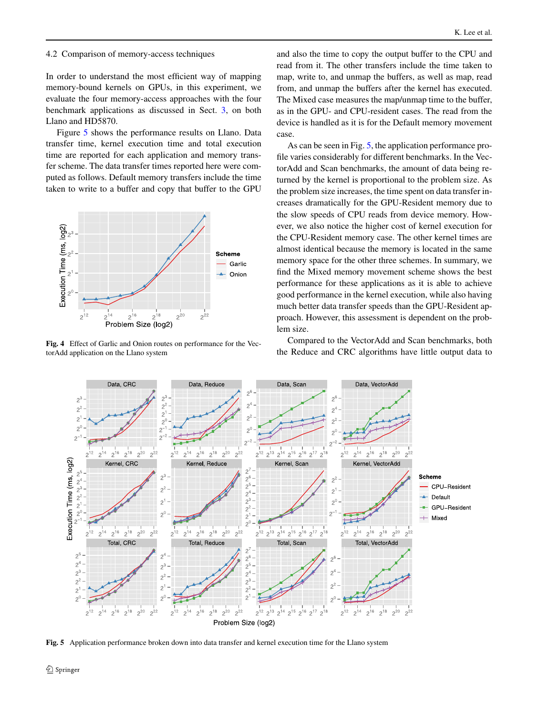## 4.2 Comparison of memory-access techniques

In order to understand the most efficient way of mapping memory-bound kernels on GPUs, in this experiment, we evaluate the four memory-access approaches with the four benchmark applications as discussed in Sect. [3,](#page-2-0) on both Llano and HD5870.

Figure [5](#page-5-1) shows the performance results on Llano. Data transfer time, kernel execution time and total execution time are reported for each application and memory transfer scheme. The data transfer times reported here were computed as follows. Default memory transfers include the time taken to write to a buffer and copy that buffer to the GPU

<span id="page-5-0"></span>

**Fig. 4** Effect of Garlic and Onion routes on performance for the VectorAdd application on the Llano system

and also the time to copy the output buffer to the CPU and read from it. The other transfers include the time taken to map, write to, and unmap the buffers, as well as map, read from, and unmap the buffers after the kernel has executed. The Mixed case measures the map/unmap time to the buffer, as in the GPU- and CPU-resident cases. The read from the device is handled as it is for the Default memory movement case.

As can be seen in Fig. [5](#page-5-1), the application performance profile varies considerably for different benchmarks. In the VectorAdd and Scan benchmarks, the amount of data being returned by the kernel is proportional to the problem size. As the problem size increases, the time spent on data transfer increases dramatically for the GPU-Resident memory due to the slow speeds of CPU reads from device memory. However, we also notice the higher cost of kernel execution for the CPU-Resident memory case. The other kernel times are almost identical because the memory is located in the same memory space for the other three schemes. In summary, we find the Mixed memory movement scheme shows the best performance for these applications as it is able to achieve good performance in the kernel execution, while also having much better data transfer speeds than the GPU-Resident approach. However, this assessment is dependent on the problem size.

Compared to the VectorAdd and Scan benchmarks, both the Reduce and CRC algorithms have little output data to



<span id="page-5-1"></span>**Fig. 5** Application performance broken down into data transfer and kernel execution time for the Llano system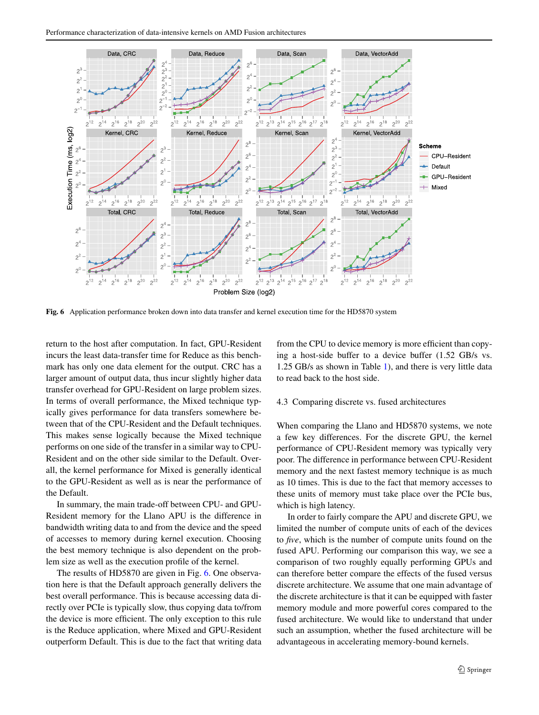

<span id="page-6-0"></span>**Fig. 6** Application performance broken down into data transfer and kernel execution time for the HD5870 system

return to the host after computation. In fact, GPU-Resident incurs the least data-transfer time for Reduce as this benchmark has only one data element for the output. CRC has a larger amount of output data, thus incur slightly higher data transfer overhead for GPU-Resident on large problem sizes. In terms of overall performance, the Mixed technique typically gives performance for data transfers somewhere between that of the CPU-Resident and the Default techniques. This makes sense logically because the Mixed technique performs on one side of the transfer in a similar way to CPU-Resident and on the other side similar to the Default. Overall, the kernel performance for Mixed is generally identical to the GPU-Resident as well as is near the performance of the Default.

In summary, the main trade-off between CPU- and GPU-Resident memory for the Llano APU is the difference in bandwidth writing data to and from the device and the speed of accesses to memory during kernel execution. Choosing the best memory technique is also dependent on the problem size as well as the execution profile of the kernel.

The results of HD5870 are given in Fig. [6.](#page-6-0) One observation here is that the Default approach generally delivers the best overall performance. This is because accessing data directly over PCIe is typically slow, thus copying data to/from the device is more efficient. The only exception to this rule is the Reduce application, where Mixed and GPU-Resident outperform Default. This is due to the fact that writing data from the CPU to device memory is more efficient than copying a host-side buffer to a device buffer (1.52 GB/s vs. 1.25 GB/s as shown in Table [1\)](#page-2-1), and there is very little data to read back to the host side.

#### 4.3 Comparing discrete vs. fused architectures

When comparing the Llano and HD5870 systems, we note a few key differences. For the discrete GPU, the kernel performance of CPU-Resident memory was typically very poor. The difference in performance between CPU-Resident memory and the next fastest memory technique is as much as 10 times. This is due to the fact that memory accesses to these units of memory must take place over the PCIe bus, which is high latency.

In order to fairly compare the APU and discrete GPU, we limited the number of compute units of each of the devices to *five*, which is the number of compute units found on the fused APU. Performing our comparison this way, we see a comparison of two roughly equally performing GPUs and can therefore better compare the effects of the fused versus discrete architecture. We assume that one main advantage of the discrete architecture is that it can be equipped with faster memory module and more powerful cores compared to the fused architecture. We would like to understand that under such an assumption, whether the fused architecture will be advantageous in accelerating memory-bound kernels.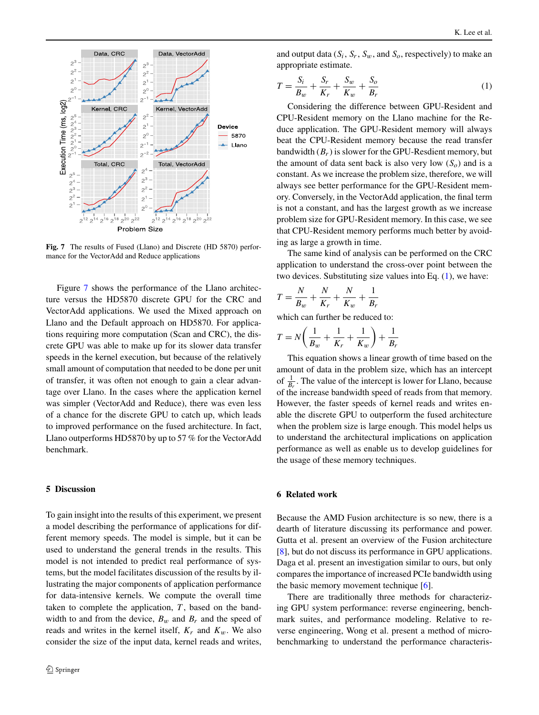

<span id="page-7-2"></span>**Fig. 7** The results of Fused (Llano) and Discrete (HD 5870) performance for the VectorAdd and Reduce applications

Figure [7](#page-7-2) shows the performance of the Llano architecture versus the HD5870 discrete GPU for the CRC and VectorAdd applications. We used the Mixed approach on Llano and the Default approach on HD5870. For applications requiring more computation (Scan and CRC), the discrete GPU was able to make up for its slower data transfer speeds in the kernel execution, but because of the relatively small amount of computation that needed to be done per unit of transfer, it was often not enough to gain a clear advantage over Llano. In the cases where the application kernel was simpler (VectorAdd and Reduce), there was even less of a chance for the discrete GPU to catch up, which leads to improved performance on the fused architecture. In fact, Llano outperforms HD5870 by up to 57 % for the VectorAdd benchmark.

## <span id="page-7-0"></span>**5 Discussion**

To gain insight into the results of this experiment, we present a model describing the performance of applications for different memory speeds. The model is simple, but it can be used to understand the general trends in the results. This model is not intended to predict real performance of systems, but the model facilitates discussion of the results by illustrating the major components of application performance for data-intensive kernels. We compute the overall time taken to complete the application,  $T$ , based on the bandwidth to and from the device,  $B_w$  and  $B_r$  and the speed of reads and writes in the kernel itself,  $K_r$  and  $K_w$ . We also consider the size of the input data, kernel reads and writes,

<span id="page-7-3"></span>and output data  $(S_i, S_r, S_w,$  and  $S_o$ , respectively) to make an appropriate estimate.

$$
T = \frac{S_i}{B_w} + \frac{S_r}{K_r} + \frac{S_w}{K_w} + \frac{S_o}{B_r}
$$
\n<sup>(1)</sup>

Considering the difference between GPU-Resident and CPU-Resident memory on the Llano machine for the Reduce application. The GPU-Resident memory will always beat the CPU-Resident memory because the read transfer bandwidth  $(B_r)$  is slower for the GPU-Resdient memory, but the amount of data sent back is also very low  $(S<sub>o</sub>)$  and is a constant. As we increase the problem size, therefore, we will always see better performance for the GPU-Resident memory. Conversely, in the VectorAdd application, the final term is not a constant, and has the largest growth as we increase problem size for GPU-Resident memory. In this case, we see that CPU-Resident memory performs much better by avoiding as large a growth in time.

The same kind of analysis can be performed on the CRC application to understand the cross-over point between the two devices. Substituting size values into Eq. ([1](#page-7-3)), we have:

$$
T = \frac{N}{B_w} + \frac{N}{K_r} + \frac{N}{K_w} + \frac{1}{B_r}
$$

which can further be reduced to:

$$
T = N\left(\frac{1}{B_w} + \frac{1}{K_r} + \frac{1}{K_w}\right) + \frac{1}{B_r}
$$

<span id="page-7-1"></span>This equation shows a linear growth of time based on the amount of data in the problem size, which has an intercept of  $\frac{1}{B_r}$ . The value of the intercept is lower for Llano, because of the increase bandwidth speed of reads from that memory. However, the faster speeds of kernel reads and writes enable the discrete GPU to outperform the fused architecture when the problem size is large enough. This model helps us to understand the architectural implications on application performance as well as enable us to develop guidelines for the usage of these memory techniques.

## **6 Related work**

Because the AMD Fusion architecture is so new, there is a dearth of literature discussing its performance and power. Gutta et al. present an overview of the Fusion architecture [\[8](#page-8-4)], but do not discuss its performance in GPU applications. Daga et al. present an investigation similar to ours, but only compares the importance of increased PCIe bandwidth using the basic memory movement technique [[6\]](#page-8-5).

There are traditionally three methods for characterizing GPU system performance: reverse engineering, benchmark suites, and performance modeling. Relative to reverse engineering, Wong et al. present a method of microbenchmarking to understand the performance characteris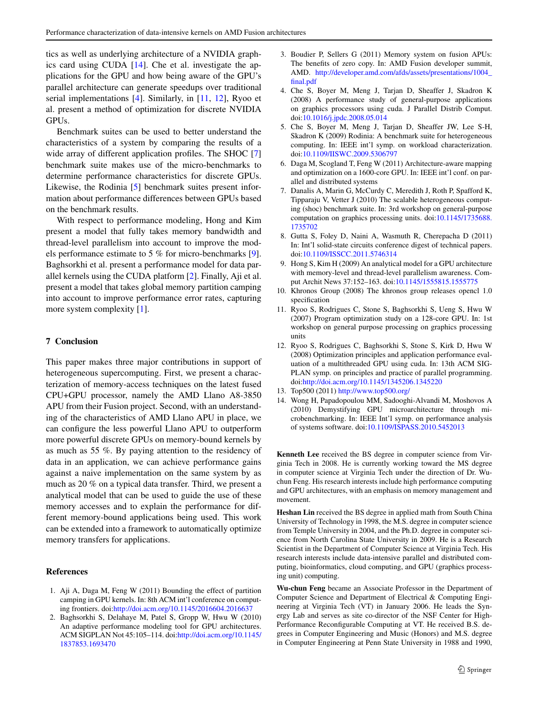tics as well as underlying architecture of a NVIDIA graphics card using CUDA [\[14](#page-8-6)]. Che et al. investigate the applications for the GPU and how being aware of the GPU's parallel architecture can generate speedups over traditional serial implementations [\[4](#page-8-7)]. Similarly, in [\[11](#page-8-8), [12](#page-8-9)], Ryoo et al. present a method of optimization for discrete NVIDIA GPUs.

Benchmark suites can be used to better understand the characteristics of a system by comparing the results of a wide array of different application profiles. The SHOC [[7\]](#page-8-10) benchmark suite makes use of the micro-benchmarks to determine performance characteristics for discrete GPUs. Likewise, the Rodinia [[5\]](#page-8-11) benchmark suites present information about performance differences between GPUs based on the benchmark results.

<span id="page-8-1"></span>With respect to performance modeling, Hong and Kim present a model that fully takes memory bandwidth and thread-level parallelism into account to improve the models performance estimate to 5 % for micro-benchmarks [\[9](#page-8-12)]. Baghsorkhi et al. present a performance model for data parallel kernels using the CUDA platform [\[2](#page-8-13)]. Finally, Aji et al. present a model that takes global memory partition camping into account to improve performance error rates, capturing more system complexity [\[1](#page-8-14)].

## **7 Conclusion**

This paper makes three major contributions in support of heterogeneous supercomputing. First, we present a characterization of memory-access techniques on the latest fused CPU+GPU processor, namely the AMD Llano A8-3850 APU from their Fusion project. Second, with an understanding of the characteristics of AMD Llano APU in place, we can configure the less powerful Llano APU to outperform more powerful discrete GPUs on memory-bound kernels by as much as 55 %. By paying attention to the residency of data in an application, we can achieve performance gains against a naive implementation on the same system by as much as 20 % on a typical data transfer. Third, we present a analytical model that can be used to guide the use of these memory accesses and to explain the performance for different memory-bound applications being used. This work can be extended into a framework to automatically optimize memory transfers for applications.

## <span id="page-8-14"></span><span id="page-8-13"></span>**References**

- 1. Aji A, Daga M, Feng W (2011) Bounding the effect of partition camping in GPU kernels. In: 8th ACM int'l conference on computing frontiers. doi[:http://doi.acm.org/10.1145/2016604.2016637](http://doi.acm.org/10.1145/2016604.2016637)
- 2. Baghsorkhi S, Delahaye M, Patel S, Gropp W, Hwu W (2010) An adaptive performance modeling tool for GPU architectures. ACM SIGPLAN Not 45:105–114. doi[:http://doi.acm.org/10.1145/](http://doi.acm.org/10.1145/1837853.1693470) [1837853.1693470](http://doi.acm.org/10.1145/1837853.1693470)
- <span id="page-8-11"></span><span id="page-8-7"></span><span id="page-8-2"></span>3. Boudier P, Sellers G (2011) Memory system on fusion APUs: The benefits of zero copy. In: AMD Fusion developer summit, AMD. [http://developer.amd.com/afds/assets/presentations/1004\\_](http://developer.amd.com/afds/assets/presentations/1004_final.pdf) [final.pdf](http://developer.amd.com/afds/assets/presentations/1004_final.pdf)
- <span id="page-8-10"></span><span id="page-8-5"></span>4. Che S, Boyer M, Meng J, Tarjan D, Sheaffer J, Skadron K (2008) A performance study of general-purpose applications on graphics processors using cuda. J Parallel Distrib Comput. doi:[10.1016/j.jpdc.2008.05.014](http://dx.doi.org/10.1016/j.jpdc.2008.05.014)
- 5. Che S, Boyer M, Meng J, Tarjan D, Sheaffer JW, Lee S-H, Skadron K (2009) Rodinia: A benchmark suite for heterogeneous computing. In: IEEE int'l symp. on workload characterization. doi:[10.1109/IISWC.2009.5306797](http://dx.doi.org/10.1109/IISWC.2009.5306797)
- <span id="page-8-4"></span>6. Daga M, Scogland T, Feng W (2011) Architecture-aware mapping and optimization on a 1600-core GPU. In: IEEE int'l conf. on parallel and distributed systems
- <span id="page-8-12"></span><span id="page-8-3"></span>7. Danalis A, Marin G, McCurdy C, Meredith J, Roth P, Spafford K, Tipparaju V, Vetter J (2010) The scalable heterogeneous computing (shoc) benchmark suite. In: 3rd workshop on general-purpose computation on graphics processing units. doi[:10.1145/1735688.](http://dx.doi.org/10.1145/1735688.1735702) [1735702](http://dx.doi.org/10.1145/1735688.1735702)
- <span id="page-8-8"></span>8. Gutta S, Foley D, Naini A, Wasmuth R, Cherepacha D (2011) In: Int'l solid-state circuits conference digest of technical papers. doi:[10.1109/ISSCC.2011.5746314](http://dx.doi.org/10.1109/ISSCC.2011.5746314)
- <span id="page-8-9"></span>9. Hong S, Kim H (2009) An analytical model for a GPU architecture with memory-level and thread-level parallelism awareness. Comput Archit News 37:152–163. doi[:10.1145/1555815.1555775](http://dx.doi.org/10.1145/1555815.1555775)
- 10. Khronos Group (2008) The khronos group releases opencl 1.0 specification
- <span id="page-8-6"></span><span id="page-8-0"></span>11. Ryoo S, Rodrigues C, Stone S, Baghsorkhi S, Ueng S, Hwu W (2007) Program optimization study on a 128-core GPU. In: 1st workshop on general purpose processing on graphics processing units
- 12. Ryoo S, Rodrigues C, Baghsorkhi S, Stone S, Kirk D, Hwu W (2008) Optimization principles and application performance evaluation of a multithreaded GPU using cuda. In: 13th ACM SIG-PLAN symp. on principles and practice of parallel programming. doi:<http://doi.acm.org/10.1145/1345206.1345220>
- 13. Top500 (2011) <http://www.top500.org/>
- 14. Wong H, Papadopoulou MM, Sadooghi-Alvandi M, Moshovos A (2010) Demystifying GPU microarchitecture through microbenchmarking. In: IEEE Int'l symp. on performance analysis of systems software. doi[:10.1109/ISPASS.2010.5452013](http://dx.doi.org/10.1109/ISPASS.2010.5452013)

**Kenneth Lee** received the BS degree in computer science from Virginia Tech in 2008. He is currently working toward the MS degree in computer science at Virginia Tech under the direction of Dr. Wuchun Feng. His research interests include high performance computing and GPU architectures, with an emphasis on memory management and movement.

**Heshan Lin** received the BS degree in applied math from South China University of Technology in 1998, the M.S. degree in computer science from Temple University in 2004, and the Ph.D. degree in computer science from North Carolina State University in 2009. He is a Research Scientist in the Department of Computer Science at Virginia Tech. His research interests include data-intensive parallel and distributed computing, bioinformatics, cloud computing, and GPU (graphics processing unit) computing.

**Wu-chun Feng** became an Associate Professor in the Department of Computer Science and Department of Electrical & Computing Engineering at Virginia Tech (VT) in January 2006. He leads the Synergy Lab and serves as site co-director of the NSF Center for High-Performance Reconfigurable Computing at VT. He received B.S. degrees in Computer Engineering and Music (Honors) and M.S. degree in Computer Engineering at Penn State University in 1988 and 1990,